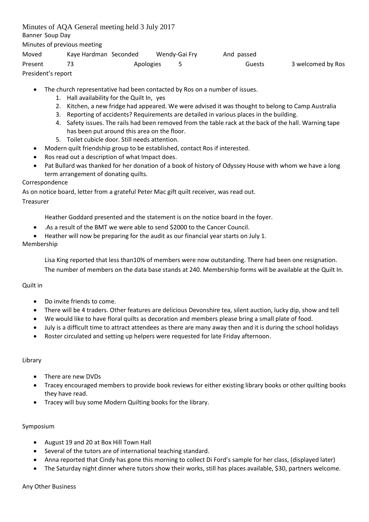Minutes of AQA General meeting held 3 July 2017 Banner Soup Day Minutes of previous meeting Moved Kaye Hardman Seconded Wendy-Gai Fry And passed Present 73 Apologies 5 Guests 3 welcomed by Ros President's report

- The church representative had been contacted by Ros on a number of issues.
	- 1. Hall availability for the Quilt In, yes
	- 2. Kitchen, a new fridge had appeared. We were advised it was thought to belong to Camp Australia
	- 3. Reporting of accidents? Requirements are detailed in various places in the building.
	- 4. Safety issues. The rails had been removed from the table rack at the back of the hall. Warning tape has been put around this area on the floor.
	- 5. Toilet cubicle door. Still needs attention.
- Modern quilt friendship group to be established, contact Ros if interested.
- Ros read out a description of what Impact does.
- Pat Bullard was thanked for her donation of a book of history of Odyssey House with whom we have a long term arrangement of donating quilts.

# Correspondence

As on notice board, letter from a grateful Peter Mac gift quilt receiver, was read out.

### Treasurer

Heather Goddard presented and the statement is on the notice board in the foyer.

- .As a result of the BMT we were able to send \$2000 to the Cancer Council.
- Heather will now be preparing for the audit as our financial year starts on July 1.

# Membership

Lisa King reported that less than10% of members were now outstanding. There had been one resignation. The number of members on the data base stands at 240. Membership forms will be available at the Quilt In.

# Quilt in

- Do invite friends to come.
- There will be 4 traders. Other features are delicious Devonshire tea, silent auction, lucky dip, show and tell
- We would like to have floral quilts as decoration and members please bring a small plate of food.
- July is a difficult time to attract attendees as there are many away then and it is during the school holidays
- Roster circulated and setting up helpers were requested for late Friday afternoon.

### Library

- There are new DVDs
- Tracey encouraged members to provide book reviews for either existing library books or other quilting books they have read.
- Tracey will buy some Modern Quilting books for the library.

### Symposium

- August 19 and 20 at Box Hill Town Hall
- Several of the tutors are of international teaching standard.
- Anna reported that Cindy has gone this morning to collect Di Ford's sample for her class, (displayed later)
- The Saturday night dinner where tutors show their works, still has places available, \$30, partners welcome.